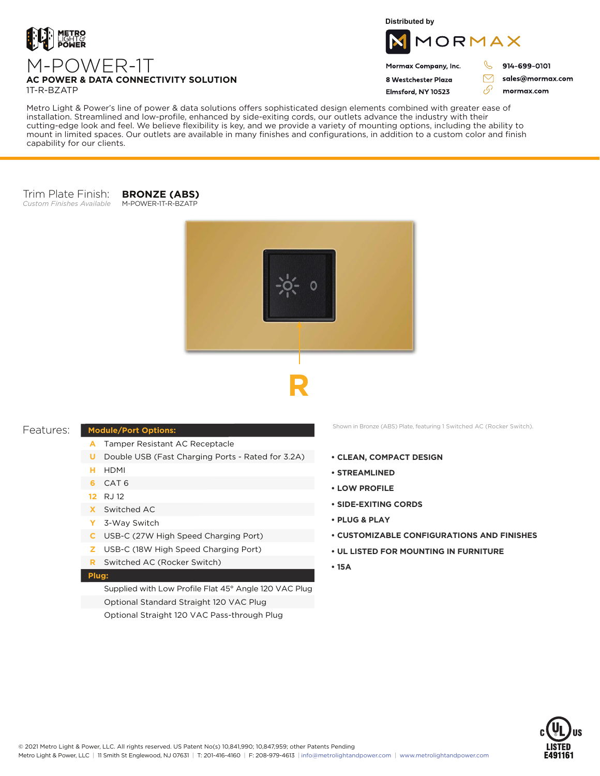

M-POWER-1T

**Distributed by**



Mormax Company, Inc. 8 Westchester Plaza

Elmsford, NY 10523

914-699-0101

J

 $\bigtriangledown$ 

76

sales@mormax.com mormax.com

# **AC POWER & DATA CONNECTIVITY SOLUTION** 1T-R-BZATP

Metro Light & Power's line of power & data solutions offers sophisticated design elements combined with greater ease of installation. Streamlined and low-profile, enhanced by side-exiting cords, our outlets advance the industry with their cutting-edge look and feel. We believe flexibility is key, and we provide a variety of mounting options, including the ability to mount in limited spaces. Our outlets are available in many finishes and configurations, in addition to a custom color and finish capability for our clients.

#### Trim Plate Finish: *Custom Finishes Available* M-POWER-1T-R-BZATP

**BRONZE (ABS)**



## Features:

## **Module/Port Options:**

- Tamper Resistant AC Receptacle **A**
- **U** Double USB (Fast Charging Ports Rated for 3.2A)
- HDMI **H**
- CAT 6 **6**
- RJ 12 **12**
- Switched AC **X**
- 3-Way Switch **Y**
- USB-C (27W High Speed Charging Port) **C**
- USB-C (18W High Speed Charging Port) **Z**
- Switched AC (Rocker Switch) **R**

#### **Plug:**

Supplied with Low Profile Flat 45° Angle 120 VAC Plug Optional Standard Straight 120 VAC Plug Optional Straight 120 VAC Pass-through Plug

Shown in Bronze (ABS) Plate, featuring 1 Switched AC (Rocker Switch).

- **CLEAN, COMPACT DESIGN**
- **STREAMLINED**
- **LOW PROFILE**
- **SIDE-EXITING CORDS**
- **PLUG & PLAY**
- **CUSTOMIZABLE CONFIGURATIONS AND FINISHES**
- **UL LISTED FOR MOUNTING IN FURNITURE**
- **15A**